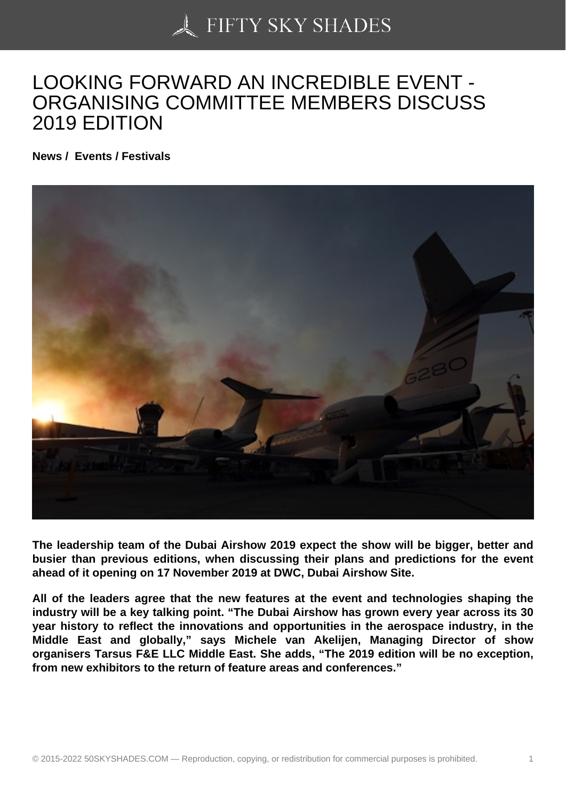## [LOOKING FORWARD](https://50skyshades.com) AN INCREDIBLE EVENT - ORGANISING COMMITTEE MEMBERS DISCUSS 2019 EDITION

News / Events / Festivals

The leadership team of the Dubai Airshow 2019 expect the show will be bigger, better and busier than previous editions, when discussing their plans and predictions for the event ahead of it opening on 17 November 2019 at DWC, Dubai Airshow Site.

All of the leaders agree that the new features at the event and technologies shaping the industry will be a key talking point. "The Dubai Airshow has grown every year across its 30 year history to reflect the innovations and opportunities in the aerospace industry, in the Middle East and globally," says Michele van Akelijen, Managing Director of show organisers Tarsus F&E LLC Middle East. She adds, "The 2019 edition will be no exception, from new exhibitors to the return of feature areas and conferences."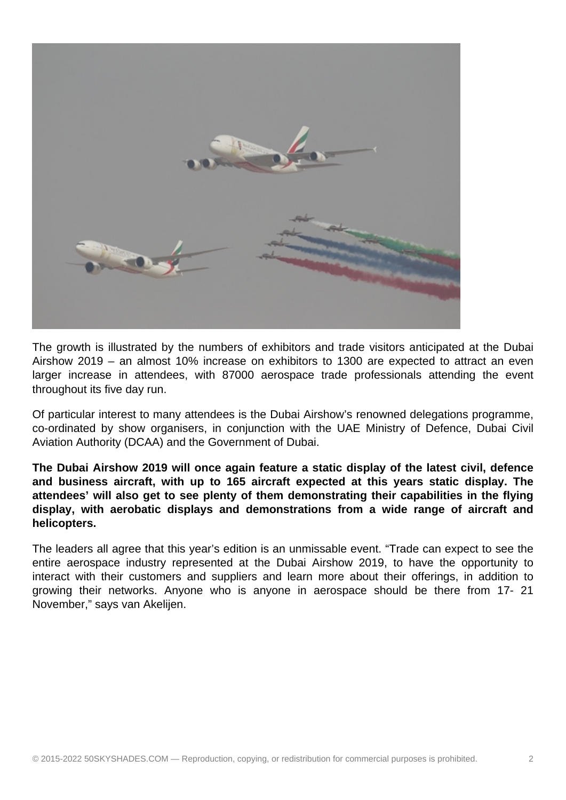

The growth is illustrated by the numbers of exhibitors and trade visitors anticipated at the Dubai Airshow 2019 – an almost 10% increase on exhibitors to 1300 are expected to attract an even larger increase in attendees, with 87000 aerospace trade professionals attending the event throughout its five day run.

Of particular interest to many attendees is the Dubai Airshow's renowned delegations programme, co-ordinated by show organisers, in conjunction with the UAE Ministry of Defence, Dubai Civil Aviation Authority (DCAA) and the Government of Dubai.

**The Dubai Airshow 2019 will once again feature a static display of the latest civil, defence and business aircraft, with up to 165 aircraft expected at this years static display. The attendees' will also get to see plenty of them demonstrating their capabilities in the flying display, with aerobatic displays and demonstrations from a wide range of aircraft and helicopters.**

The leaders all agree that this year's edition is an unmissable event. "Trade can expect to see the entire aerospace industry represented at the Dubai Airshow 2019, to have the opportunity to interact with their customers and suppliers and learn more about their offerings, in addition to growing their networks. Anyone who is anyone in aerospace should be there from 17- 21 November," says van Akelijen.